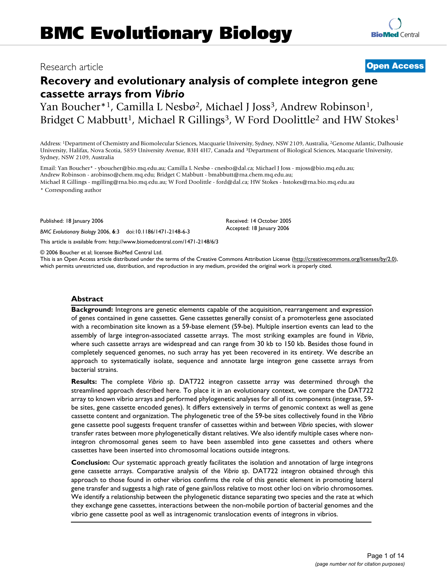## Research article **[Open Access](http://www.biomedcentral.com/info/about/charter/)**

# **Recovery and evolutionary analysis of complete integron gene cassette arrays from** *Vibrio*

Yan Boucher\*<sup>1</sup>, Camilla L Nesbø<sup>2</sup>, Michael J Joss<sup>3</sup>, Andrew Robinson<sup>1</sup>, Bridget C Mabbutt<sup>1</sup>, Michael R Gillings<sup>3</sup>, W Ford Doolittle<sup>2</sup> and HW Stokes<sup>1</sup>

Address: 1Department of Chemistry and Biomolecular Sciences, Macquarie University, Sydney, NSW 2109, Australia, 2Genome Atlantic, Dalhousie University, Halifax, Nova Scotia, 5859 University Avenue, B3H 4H7, Canada and 3Department of Biological Sciences, Macquarie University, Sydney, NSW 2109, Australia

Email: Yan Boucher\* - yboucher@bio.mq.edu.au; Camilla L Nesbø - cnesbo@dal.ca; Michael J Joss - mjoss@bio.mq.edu.au; Andrew Robinson - arobinso@chem.mq.edu; Bridget C Mabbutt - bmabbutt@rna.chem.mq.edu.au; Michael R Gillings - mgilling@rna.bio.mq.edu.au; W Ford Doolittle - ford@dal.ca; HW Stokes - hstokes@rna.bio.mq.edu.au

\* Corresponding author

Published: 18 January 2006

*BMC Evolutionary Biology* 2006, **6**:3 doi:10.1186/1471-2148-6-3

[This article is available from: http://www.biomedcentral.com/1471-2148/6/3](http://www.biomedcentral.com/1471-2148/6/3)

© 2006 Boucher et al; licensee BioMed Central Ltd.

This is an Open Access article distributed under the terms of the Creative Commons Attribution License [\(http://creativecommons.org/licenses/by/2.0\)](http://creativecommons.org/licenses/by/2.0), which permits unrestricted use, distribution, and reproduction in any medium, provided the original work is properly cited.

#### **Abstract**

**Background:** Integrons are genetic elements capable of the acquisition, rearrangement and expression of genes contained in gene cassettes. Gene cassettes generally consist of a promoterless gene associated with a recombination site known as a 59-base element (59-be). Multiple insertion events can lead to the assembly of large integron-associated cassette arrays. The most striking examples are found in *Vibrio*, where such cassette arrays are widespread and can range from 30 kb to 150 kb. Besides those found in completely sequenced genomes, no such array has yet been recovered in its entirety. We describe an approach to systematically isolate, sequence and annotate large integron gene cassette arrays from bacterial strains.

**Results:** The complete *Vibrio sp*. DAT722 integron cassette array was determined through the streamlined approach described here. To place it in an evolutionary context, we compare the DAT722 array to known vibrio arrays and performed phylogenetic analyses for all of its components (integrase, 59 be sites, gene cassette encoded genes). It differs extensively in terms of genomic context as well as gene cassette content and organization. The phylogenetic tree of the 59-be sites collectively found in the *Vibrio* gene cassette pool suggests frequent transfer of cassettes within and between *Vibrio* species, with slower transfer rates between more phylogenetically distant relatives. We also identify multiple cases where nonintegron chromosomal genes seem to have been assembled into gene cassettes and others where cassettes have been inserted into chromosomal locations outside integrons.

**Conclusion:** Our systematic approach greatly facilitates the isolation and annotation of large integrons gene cassette arrays. Comparative analysis of the *Vibrio sp*. DAT722 integron obtained through this approach to those found in other vibrios confirms the role of this genetic element in promoting lateral gene transfer and suggests a high rate of gene gain/loss relative to most other loci on vibrio chromosomes. We identify a relationship between the phylogenetic distance separating two species and the rate at which they exchange gene cassettes, interactions between the non-mobile portion of bacterial genomes and the vibrio gene cassette pool as well as intragenomic translocation events of integrons in vibrios.

Received: 14 October 2005 Accepted: 18 January 2006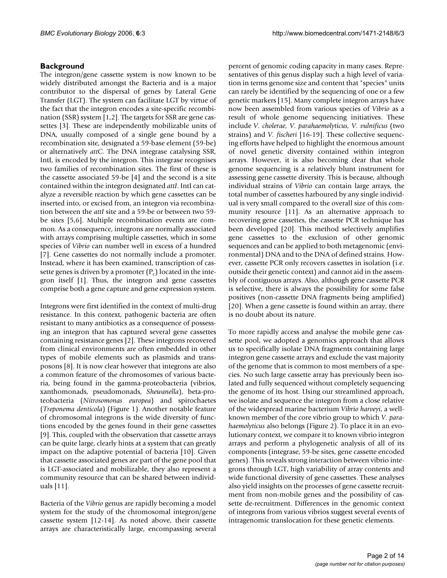#### **Background**

The integron/gene cassette system is now known to be widely distributed amongst the Bacteria and is a major contributor to the dispersal of genes by Lateral Gene Transfer (LGT). The system can facilitate LGT by virtue of the fact that the integron encodes a site-specific recombination (SSR) system [1,2]. The targets for SSR are gene cassettes [3]. These are independently mobilizable units of DNA, usually composed of a single gene bound by a recombination site, designated a 59-base element (59-be) or alternatively *attC*. The DNA integrase catalysing SSR, IntI, is encoded by the integron. This integrase recognises two families of recombination sites. The first of these is the cassette associated 59-be [4] and the second is a site contained within the integron designated *attI*. IntI can catalyze a reversible reaction by which gene cassettes can be inserted into, or excised from, an integron via recombination between the *attI* site and a 59-be or between two 59 be sites [5,6]. Multiple recombination events are common. As a consequence, integrons are normally associated with arrays comprising multiple cassettes, which in some species of *Vibrio* can number well in excess of a hundred [7]. Gene cassettes do not normally include a promoter. Instead, where it has been examined, transcription of cassette genes is driven by a promoter  $(P_c)$  located in the integron itself [1]. Thus, the integron and gene cassettes comprise both a gene capture and gene expression system.

Integrons were first identified in the context of multi-drug resistance. In this context, pathogenic bacteria are often resistant to many antibiotics as a consequence of possessing an integron that has captured several gene cassettes containing resistance genes [2]. These integrons recovered from clinical environments are often embedded in other types of mobile elements such as plasmids and transposons [8]. It is now clear however that integrons are also a common feature of the chromosomes of various bacteria, being found in the gamma-proteobacteria (vibrios, xanthomonads, pseudomonads, *Shewanella*), beta-proteobacteria (*Nitrosomonas europea*) and spirochaetes (*Treponema denticola*) (Figure 1). Another notable feature of chromosomal integrons is the wide diversity of functions encoded by the genes found in their gene cassettes [9]. This, coupled with the observation that cassette arrays can be quite large, clearly hints at a system that can greatly impact on the adaptive potential of bacteria [10]. Given that cassette associated genes are part of the gene pool that is LGT-associated and mobilizable, they also represent a community resource that can be shared between individuals [11].

Bacteria of the *Vibrio* genus are rapidly becoming a model system for the study of the chromosomal integron/gene cassette system [12-14]. As noted above, their cassette arrays are characteristically large, encompassing several

percent of genomic coding capacity in many cases. Representatives of this genus display such a high level of variation in terms genome size and content that "species" units can rarely be identified by the sequencing of one or a few genetic markers [15]. Many complete integron arrays have now been assembled from various species of *Vibrio* as a result of whole genome sequencing initiatives. These include *V. cholerae, V. parahaemolyticus, V. vulnificus* (two strains) and *V. fischeri* [16-19]. These collective sequencing efforts have helped to highlight the enormous amount of novel genetic diversity contained within integron arrays. However, it is also becoming clear that whole genome sequencing is a relatively blunt instrument for assessing gene cassette diversity. This is because, although individual strains of *Vibrio* can contain large arrays, the total number of cassettes harboured by any single individual is very small compared to the overall size of this community resource [11]. As an alternative approach to recovering gene cassettes, the cassette PCR technique has been developed [20]. This method selectively amplifies gene cassettes to the exclusion of other genomic sequences and can be applied to both metagenomic (environmental) DNA and to the DNA of defined strains. However, cassette PCR only recovers cassettes in isolation (i.e. outside their genetic context) and cannot aid in the assembly of contiguous arrays. Also, although gene cassette PCR is selective, there is always the possibility for some false positives (non-cassette DNA fragments being amplified) [20]. When a gene cassette is found within an array, there is no doubt about its nature.

To more rapidly access and analyse the mobile gene cassette pool, we adopted a genomics approach that allows us to specifically isolate DNA fragments containing large integron gene cassette arrays and exclude the vast majority of the genome that is common to most members of a species. No such large cassette array has previously been isolated and fully sequenced without completely sequencing the genome of its host. Using our streamlined approach, we isolate and sequence the integron from a close relative of the widespread marine bacterium *Vibrio harveyi*, a wellknown member of the core vibrio group to which *V. parahaemolyticus* also belongs (Figure 2). To place it in an evolutionary context, we compare it to known vibrio integron arrays and perform a phylogenetic analysis of all of its components (integrase, 59-be sites, gene cassette encoded genes). This reveals strong interaction between vibrio integrons through LGT, high variability of array contents and wide functional diversity of gene cassettes. These analyses also yield insights on the processes of gene cassette recruitment from non-mobile genes and the possibility of cassette de-recruitment. Differences in the genomic context of integrons from various vibrios suggest several events of intragenomic translocation for these genetic elements.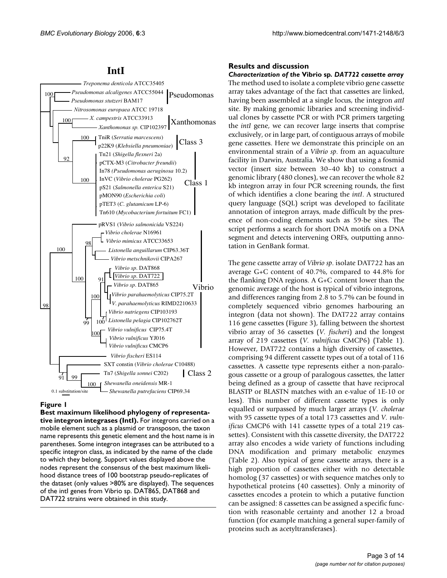## **IntI**



## **Figure 1**

**Best maximum likelihood phylogeny of representative integron integrases (IntI).** For integrons carried on a mobile element such as a plasmid or transposon, the taxon name represents this genetic element and the host name is in parentheses. Some integron integrases can be attributed to a specific integron class, as indicated by the name of the clade to which they belong. Support values displayed above the nodes represent the consensus of the best maximum likelihood distance trees of 100 bootstrap pseudo-replicates of the dataset (only values >80% are displayed). The sequences of the intl genes from Vibrio sp. DAT865, DAT868 and DAT722 strains were obtained in this study.

## **Results and discussion**

## *Characterization of the* **Vibrio sp***. DAT722 cassette array*

The method used to isolate a complete vibrio gene cassette array takes advantage of the fact that cassettes are linked, having been assembled at a single locus, the integron *attI* site. By making genomic libraries and screening individual clones by cassette PCR or with PCR primers targeting the *intI* gene, we can recover large inserts that comprise exclusively, or in large part, of contiguous arrays of mobile gene cassettes. Here we demonstrate this principle on an environmental strain of a *Vibrio sp*. from an aquaculture facility in Darwin, Australia. We show that using a fosmid vector (insert size between 30–40 kb) to construct a genomic library (480 clones), we can recover the whole 82 kb integron array in four PCR screening rounds, the first of which identifies a clone bearing the *intI*. A structured query language (SQL) script was developed to facilitate annotation of integron arrays, made difficult by the presence of non-coding elements such as 59-be sites. The script performs a search for short DNA motifs on a DNA segment and detects intervening ORFs, outputting annotation in GenBank format.

The gene cassette array of *Vibrio sp*. isolate DAT722 has an average G+C content of 40.7%, compared to 44.8% for the flanking DNA regions. A G+C content lower than the genomic average of the host is typical of vibrio integrons, and differences ranging from 2.8 to 5.7% can be found in completely sequenced vibrio genomes harbouring an integron (data not shown). The DAT722 array contains 116 gene cassettes (Figure 3), falling between the shortest vibrio array of 36 cassettes (*V. fischeri*) and the longest array of 219 cassettes (*V. vulnificus* CMCP6) (Table 1). However, DAT722 contains a high diversity of cassettes, comprising 94 different cassette types out of a total of 116 cassettes. A cassette type represents either a non-paralogous cassette or a group of paralogous cassettes, the latter being defined as a group of cassette that have reciprocal BLASTP or BLASTN matches with an e-value of 1E-10 or less). This number of different cassette types is only equalled or surpassed by much larger arrays (*V. cholerae* with 95 cassette types of a total 173 cassettes and *V. vulnificus* CMCP6 with 141 cassette types of a total 219 cassettes). Consistent with this cassette diversity, the DAT722 array also encodes a wide variety of functions including DNA modification and primary metabolic enzymes (Table 2). Also typical of gene cassette arrays, there is a high proportion of cassettes either with no detectable homolog (37 cassettes) or with sequence matches only to hypothetical proteins (40 cassettes). Only a minority of cassettes encodes a protein to which a putative function can be assigned: 8 cassettes can be assigned a specific function with reasonable certainty and another 12 a broad function (for example matching a general super-family of proteins such as acetyltransferases).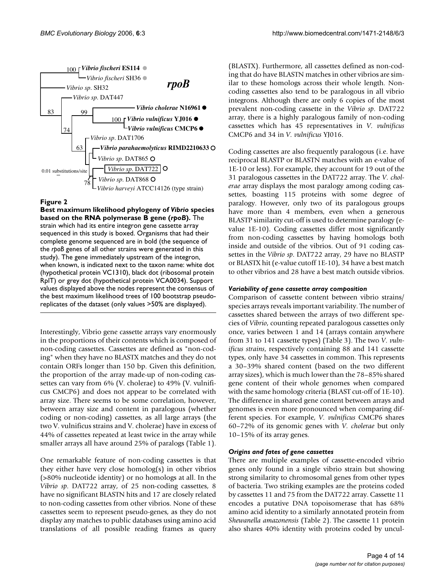

## **Figure 2**

**Best maximum likelihood phylogeny of** *Vibrio* **species based on the RNA polymerase B gene (***rpoB***).** The strain which had its entire integron gene cassette array sequenced in this study is boxed. Organisms that had their complete genome sequenced are in bold (the sequence of the *rpoB* genes of all other strains were generated in this study). The gene immediately upstream of the integron, when known, is indicated next to the taxon name: white dot (hypothetical protein VC1310), black dot (ribosomal protein RplT) or grey dot (hypothetical protein VCA0034). Support values displayed above the nodes represent the consensus of the best maximum likelihood trees of 100 bootstrap pseudoreplicates of the dataset (only values >50% are displayed).

Interestingly, Vibrio gene cassette arrays vary enormously in the proportions of their contents which is composed of non-coding cassettes. Cassettes are defined as "non-coding" when they have no BLASTX matches and they do not contain ORFs longer than 150 bp. Given this definition, the proportion of the array made-up of non-coding cassettes can vary from 6% (V. cholerae) to 49% (V. vulnificus CMCP6) and does not appear to be correlated with array size. There seems to be some correlation, however, between array size and content in paralogous (whether coding or non-coding) cassettes, as all large arrays (the two V. vulnificus strains and V. cholerae) have in excess of 44% of cassettes repeated at least twice in the array while smaller arrays all have around 25% of paralogs (Table 1).

One remarkable feature of non-coding cassettes is that they either have very close homolog(s) in other vibrios (>80% nucleotide identity) or no homologs at all. In the *Vibrio sp*. DAT722 array, of 25 non-coding cassettes, 8 have no significant BLASTN hits and 17 are closely related to non-coding cassettes from other vibrios. None of these cassettes seem to represent pseudo-genes, as they do not display any matches to public databases using amino acid translations of all possible reading frames as query (BLASTX). Furthermore, all cassettes defined as non-coding that do have BLASTN matches in other vibrios are similar to these homologs across their whole length. Noncoding cassettes also tend to be paralogous in all vibrio integrons. Although there are only 6 copies of the most prevalent non-coding cassette in the *Vibrio sp*. DAT722 array, there is a highly paralogous family of non-coding cassettes which has 45 representatives in *V. vulnificus* CMCP6 and 34 in *V. vulnificus* YJ016.

Coding cassettes are also frequently paralogous (i.e. have reciprocal BLASTP or BLASTN matches with an e-value of 1E-10 or less). For example, they account for 19 out of the 31 paralogous cassettes in the DAT722 array. The *V. cholerae* array displays the most paralogy among coding cassettes, boasting 115 proteins with some degree of paralogy. However, only two of its paralogous groups have more than 4 members, even when a generous BLASTP similarity cut-off is used to determine paralogy (evalue 1E-10). Coding cassettes differ most significantly from non-coding cassettes by having homologs both inside and outside of the vibrios. Out of 91 coding cassettes in the *Vibrio sp*. DAT722 array, 29 have no BLASTP or BLASTX hit (e-value cutoff 1E-10), 34 have a best match to other vibrios and 28 have a best match outside vibrios.

#### *Variability of gene cassette array composition*

Comparison of cassette content between vibrio strains/ species arrays reveals important variability. The number of cassettes shared between the arrays of two different species of *Vibrio*, counting repeated paralogous cassettes only once, varies between 1 and 14 (arrays contain anywhere from 31 to 141 cassette types) (Table 3). The two *V. vulnificus strains*, respectively containing 88 and 141 cassette types, only have 34 cassettes in common. This represents a 30–39% shared content (based on the two different array sizes), which is much lower than the 78–85% shared gene content of their whole genomes when compared with the same homology criteria (BLAST cut-off of 1E-10). The difference in shared gene content between arrays and genomes is even more pronounced when comparing different species. For example, *V. vulnificus* CMCP6 shares 60–72% of its genomic genes with *V. cholerae* but only 10–15% of its array genes.

#### *Origins and fates of gene cassettes*

There are multiple examples of cassette-encoded vibrio genes only found in a single vibrio strain but showing strong similarity to chromosomal genes from other types of bacteria. Two striking examples are the proteins coded by cassettes 11 and 75 from the DAT722 array. Cassette 11 encodes a putative DNA topoisomerase that has 68% amino acid identity to a similarly annotated protein from *Shewanella amazonensis* (Table 2). The cassette 11 protein also shares 40% identity with proteins coded by uncul-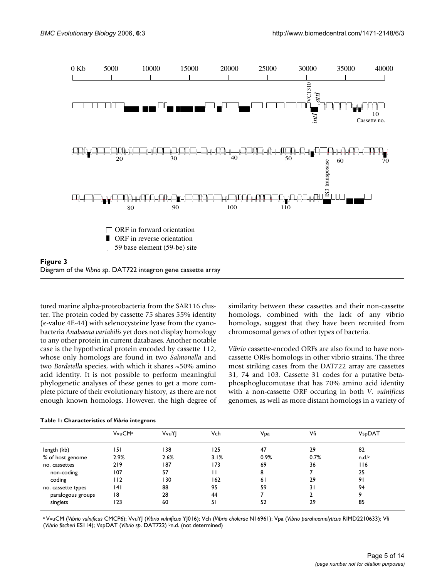

tured marine alpha-proteobacteria from the SAR116 cluster. The protein coded by cassette 75 shares 55% identity (e-value 4E-44) with selenocysteine lyase from the cyanobacteria *Anabaena variabilis* yet does not display homology to any other protein in current databases. Another notable case is the hypothetical protein encoded by cassette 112, whose only homologs are found in two *Salmonella* and two *Bordetella* species, with which it shares ~50% amino acid identity. It is not possible to perform meaningful phylogenetic analyses of these genes to get a more complete picture of their evolutionary history, as there are not enough known homologs. However, the high degree of similarity between these cassettes and their non-cassette homologs, combined with the lack of any vibrio homologs, suggest that they have been recruited from chromosomal genes of other types of bacteria.

*Vibrio* cassette-encoded ORFs are also found to have noncassette ORFs homologs in other vibrio strains. The three most striking cases from the DAT722 array are cassettes 31, 74 and 103. Cassette 31 codes for a putative betaphosphoglucomutase that has 70% amino acid identity with a non-cassette ORF occuring in both *V. vulnificus* genomes, as well as more distant homologs in a variety of

|                    | <b>VvuCMa</b> | VvuY | Vch  | Vpa  | Vfi  | VspDAT            |
|--------------------|---------------|------|------|------|------|-------------------|
| length (kb)        | 151           | 138  | 125  | 47   | 29   | 82                |
| % of host genome   | 2.9%          | 2.6% | 3.1% | 0.9% | 0.7% | n.d. <sup>b</sup> |
| no. cassettes      | 219           | 187  | 173  | 69   | 36   | 116               |
| non-coding         | 107           | 57   | П    | 8    |      | 25                |
| coding             | 112           | 130  | 162  | 61   | 29   | 91                |
| no. cassette types | 4             | 88   | 95   | 59   | 31   | 94                |
| paralogous groups  | 18            | 28   | 44   |      |      | ۹                 |
| singlets           | 123           | 60   | 51   | 52   | 29   | 85                |

#### **Table 1: Characteristics of** *Vibrio* **integrons**

a VvuCM (*Vibrio vulnificus* CMCP6); VvuYJ (*Vibrio vulnificus* YJ016); Vch (*Vibrio cholerae* N16961); Vpa (*Vibrio parahaemolyticus* RIMD2210633); Vfi (*Vibrio fischeri* ES114); VspDAT (*Vibrio sp*. DAT722) bn.d. (not determined)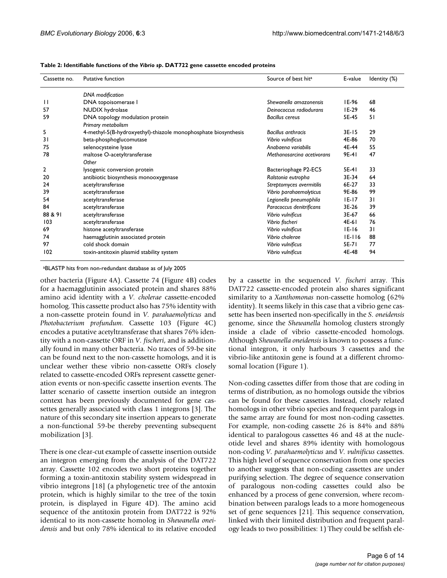| Cassette no. | Putative function                                              | Source of best hit <sup>a</sup> | E-value    | Identity (%) |
|--------------|----------------------------------------------------------------|---------------------------------|------------|--------------|
|              | <b>DNA</b> modification                                        |                                 |            |              |
| $\mathsf{L}$ | DNA topoisomerase I                                            | Shewanella amazonensis          | IE-96      | 68           |
| 57           | NUDIX hydrolase                                                | Deinococcus radiodurans         | $IE-29$    | 46           |
| 59           | DNA topology modulation protein<br>Primary metabolism          | <b>Bacillus cereus</b>          | 5E-45      | 51           |
| 5            | 4-methyl-5(B-hydroxyethyl)-thiazole monophosphate biosynthesis | <b>Bacillus anthracis</b>       | $3E-15$    | 29           |
| 31           | beta-phosphoglucomutase                                        | Vibrio vulnificus               | 4E-86      | 70           |
| 75           | selenocysteine lyase                                           | Anabaena variabilis             | 4E-44      | 55           |
| 78           | maltose O-acetyltransferase                                    | Methanosarcina acetivorans      | 9E-41      | 47           |
|              | Other                                                          |                                 |            |              |
| 2            | lysogenic conversion protein                                   | Bacteriophage P2-EC5            | 5E-41      | 33           |
| 20           | antibiotic biosynthesis monooxygenase                          | Ralstonia eutropha              | 3E-34      | 64           |
| 24           | acetyltransferase                                              | Streptomyces avermitilis        | 6E-27      | 33           |
| 39           | acetyltransferase                                              | Vibrio parahaemolyticus         | 9E-86      | 99           |
| 54           | acetyltransferase                                              | Legionella pneumophila          | $ E-17 $   | 31           |
| 84           | acetyltransferase                                              | Paracoccus denitrificans        | $3E-26$    | 39           |
| 88 & 91      | acetyltransferase                                              | Vibrio vulnificus               | 3E-67      | 66           |
| 103          | acetyltransferase                                              | Vibrio fischeri                 | 4E-61      | 76           |
| 69           | histone acetyltransferase                                      | Vibrio vulnificus               | $ E-16 $   | 31           |
| 74           | haemagglutinin associated protein                              | Vibrio cholerae                 | $IE - 116$ | 88           |
| 97           | cold shock domain                                              | Vibrio vulnificus               | 5E-71      | 77           |
| 102          | toxin-antitoxin plasmid stability system                       | Vibrio vulnificus               | 4E-48      | 94           |

aBLASTP hits from non-redundant database as of July 2005

other bacteria (Figure 4A). Cassette 74 (Figure 4B) codes for a haemagglutinin associated protein and shares 88% amino acid identity with a *V. cholerae* cassette-encoded homolog. This cassette product also has 75% identity with a non-cassette protein found in *V. parahaemolyticus* and *Photobacterium profundum*. Cassette 103 (Figure 4C) encodes a putative acetyltransferase that shares 76% identity with a non-cassette ORF in *V. fischeri*, and is additionally found in many other bacteria. No traces of 59-be site can be found next to the non-cassette homologs, and it is unclear wether these vibrio non-cassette ORFs closely related to cassette-encoded ORFs represent cassette generation events or non-specific cassette insertion events. The latter scenario of cassette insertion outside an integron context has been previously documented for gene cassettes generally associated with class 1 integrons [3]. The nature of this secondary site insertion appears to generate a non-functional 59-be thereby preventing subsequent mobilization [3].

There is one clear-cut example of cassette insertion outside an integron emerging from the analysis of the DAT722 array. Cassette 102 encodes two short proteins together forming a toxin-antitoxin stability system widespread in vibrio integrons [18] (a phylogenetic tree of the antoxin protein, which is highly similar to the tree of the toxin protein, is displayed in Figure 4D). The amino acid sequence of the antitoxin protein from DAT722 is 92% identical to its non-cassette homolog in *Shewanella oneidensis* and but only 78% identical to its relative encoded

by a cassette in the sequenced *V. fischeri* array. This DAT722 cassette-encoded protein also shares significant similarity to a *Xanthomonas* non-cassette homolog (62% identity). It seems likely in this case that a vibrio gene cassette has been inserted non-specifically in the *S. oneidensis* genome, since the *Shewanella* homolog clusters strongly inside a clade of vibrio cassette-encoded homologs. Although *Shewanella oneidensis* is known to possess a functional integron, it only harbours 3 cassettes and the vibrio-like antitoxin gene is found at a different chromosomal location (Figure 1).

Non-coding cassettes differ from those that are coding in terms of distribution, as no homologs outside the vibrios can be found for these cassettes. Instead, closely related homologs in other vibrio species and frequent paralogs in the same array are found for most non-coding cassettes. For example, non-coding cassette 26 is 84% and 88% identical to paralogous cassettes 46 and 48 at the nucleotide level and shares 89% identity with homologous non-coding *V. parahaemolyticus* and *V. vulnificus* cassettes. This high level of sequence conservation from one species to another suggests that non-coding cassettes are under purifying selection. The degree of sequence conservation of paralogous non-coding cassettes could also be enhanced by a process of gene conversion, where recombination between paralogs leads to a more homogeneous set of gene sequences [21]. This sequence conservation, linked with their limited distribution and frequent paralogy leads to two possibilities: 1) They could be selfish ele-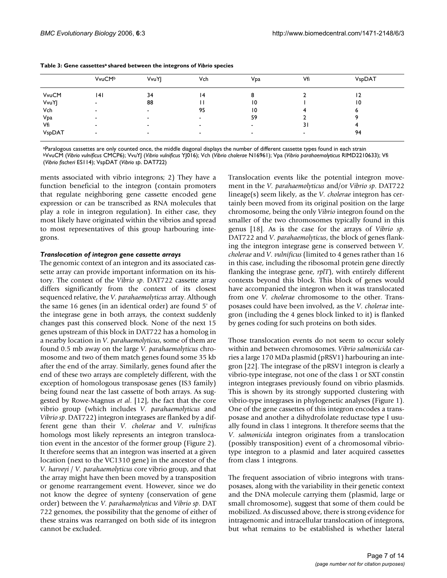|        | VvuCM <sup>b</sup>       | VvuY | Vch                      | Vpa            | Vfi | VspDAT |
|--------|--------------------------|------|--------------------------|----------------|-----|--------|
| VvuCM  | 141                      | 34   | 14                       |                |     | 12     |
| VvuYJ  | -                        | 88   |                          | 10             |     | 10     |
| Vch    | -                        | -    | 95                       | 10             |     | ь      |
| Vpa    | $\overline{\phantom{a}}$ | -    | $\overline{\phantom{a}}$ | 59             |     |        |
| Vfi    | $\overline{\phantom{a}}$ | -    | $\overline{\phantom{a}}$ | $\blacksquare$ | 31  |        |
| VspDAT | -                        | -    | $\overline{\phantom{a}}$ | $\,$           | -   | 94     |

| Table 3: Gene cassettes <sup>a</sup> shared between the integrons of Vibrio species |  |  |
|-------------------------------------------------------------------------------------|--|--|
|-------------------------------------------------------------------------------------|--|--|

aParalogous cassettes are only counted once, the middle diagonal displays the number of different cassette types found in each strain

bVvuCM (*Vibrio vulnificus* CMCP6); VvuYJ (*Vibrio vulnificus* YJ016); Vch (*Vibrio cholerae* N16961); Vpa (*Vibrio parahaemolyticus* RIMD2210633); Vfi (*Vibrio fischeri* ES114); VspDAT (*Vibrio sp*. DAT722)

ments associated with vibrio integrons; 2) They have a function beneficial to the integron (contain promoters that regulate neighboring gene cassette encoded gene expression or can be transcribed as RNA molecules that play a role in integron regulation). In either case, they most likely have originated within the vibrios and spread to most representatives of this group harbouring integrons.

#### *Translocation of integron gene cassette arrays*

The genomic context of an integron and its associated cassette array can provide important information on its history. The context of the *Vibrio sp*. DAT722 cassette array differs significantly from the context of its closest sequenced relative, the *V. parahaemolyticus* array. Although the same 16 genes (in an identical order) are found 5' of the integrase gene in both arrays, the context suddenly changes past this conserved block. None of the next 15 genes upstream of this block in DAT722 has a homolog in a nearby location in *V. parahaemolyticus*, some of them are found 0.5 mb away on the large *V. parahaemolyticus* chromosome and two of them match genes found some 35 kb after the end of the array. Similarly, genes found after the end of these two arrays are completely different, with the exception of homologous transposase genes (IS3 family) being found near the last cassette of both arrays. As suggested by Rowe-Magnus *et al*. [12], the fact that the core vibrio group (which includes *V. parahaemolyticus* and *Vibrio sp*. DAT722) integron integrases are flanked by a different gene than their *V. cholerae* and *V. vulnificus* homologs most likely represents an integron translocation event in the ancestor of the former group (Figure 2). It therefore seems that an integron was inserted at a given location (next to the VC1310 gene) in the ancestor of the *V. harveyi* / *V. parahaemolyticus* core vibrio group, and that the array might have then been moved by a transposition or genome rearrangement event. However, since we do not know the degree of synteny (conservation of gene order) between the *V. parahaemolyticus* and *Vibrio sp*. DAT 722 genomes, the possibility that the genome of either of these strains was rearranged on both side of its integron cannot be excluded.

Translocation events like the potential integron movement in the *V. parahaemolyticus* and/or *Vibrio sp*. DAT722 lineage(s) seem likely, as the *V. cholerae* integron has certainly been moved from its original position on the large chromosome, being the only *Vibrio* integron found on the smaller of the two chromosomes typically found in this genus [18]. As is the case for the arrays of *Vibrio sp*. DAT722 and *V. parahaemolyticus*, the block of genes flanking the integron integrase gene is conserved between *V. cholerae* and *V. vulnificus* (limited to 4 genes rather than 16 in this case, including the ribosomal protein gene directly flanking the integrase gene, *rplT*), with entirely different contexts beyond this block. This block of genes would have accompanied the integron when it was translocated from one *V. cholerae* chromosome to the other. Transposases could have been involved, as the *V. cholerae* integron (including the 4 genes block linked to it) is flanked by genes coding for such proteins on both sides.

Those translocation events do not seem to occur solely within and between chromosomes. *Vibrio salmonicida* carries a large 170 MDa plasmid (pRSV1) harbouring an integron [22]. The integrase of the pRSV1 integron is clearly a vibrio-type integrase, not one of the class 1 or SXT constin integron integrases previously found on vibrio plasmids. This is shown by its strongly supported clustering with vibrio-type integrases in phylogenetic analyses (Figure 1). One of the gene cassettes of this integron encodes a transposase and another a dihydrofolate reductase type I usually found in class 1 integrons. It therefore seems that the *V. salmonicida* integron originates from a translocation (possibly transposition) event of a chromosomal vibriotype integron to a plasmid and later acquired cassettes from class 1 integrons.

The frequent association of vibrio integrons with transposases, along with the variability in their genetic context and the DNA molecule carrying them (plasmid, large or small chromosome), suggest that some of them could be mobilized. As discussed above, there is strong evidence for intragenomic and intracellular translocation of integrons, but what remains to be established is whether lateral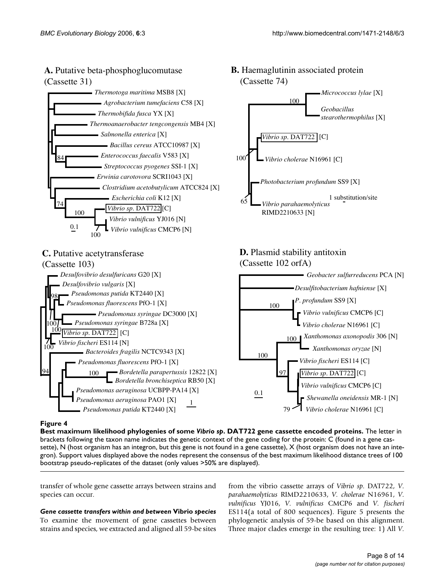## **A.** Putative beta-phosphoglucomutase (Cassette 31)



## **C.** Putative acetytransferase

#### 1 *Desulfovibrio desulfuricans* G20 [X] *Desulfovibrio vulgaris* [X] *Pseudomonas putida* KT2440 [X] *Pseudomonas fluorescens* PfO-1 [X] *Pseudomonas syringae* DC3000 [X] *Pseudomonas syringae* B728a [X] *Vibrio sp. DAT722* [C] *Vibrio fischeri* ES114 [N] *Bacteroides fragilis* NCTC9343 [X] *Pseudomonas fluorescens* PfO-1 [X] *Bordetella parapertussis* 12822 [X] *Bordetella bronchiseptica* RB50 [X] *Pseudomonas aeruginosa* UCBPP-PA14 [X] *Pseudomonas aeruginosa* PAO1 [X] *Pseudomonas putida* KT2440 [X] (Cassette 103) 100 100 94 98 100 100

## **B.** Haemaglutinin associated protein (Cassette 74)



## **D.** Plasmid stability antitoxin (Cassette 102 orfA)



## Best maximum likelihood phylogenies of some **Figure 4** *Vibrio sp*. DAT722 gene cassette encoded proteins

**Best maximum likelihood phylogenies of some** *Vibrio sp***. DAT722 gene cassette encoded proteins.** The letter in brackets following the taxon name indicates the genetic context of the gene coding for the protein: C (found in a gene cassette), N (host organism has an integron, but this gene is not found in a gene cassette), X (host organism does not have an integron). Support values displayed above the nodes represent the consensus of the best maximum likelihood distance trees of 100 bootstrap pseudo-replicates of the dataset (only values >50% are displayed).

transfer of whole gene cassette arrays between strains and species can occur.

*Gene cassette transfers within and between* **Vibrio** *species* To examine the movement of gene cassettes between strains and species, we extracted and aligned all 59-be sites from the vibrio cassette arrays of *Vibrio sp*. DAT722, *V. parahaemolyticus* RIMD2210633, *V. cholerae* N16961, *V. vulnificus* YJ016, *V. vulnificus* CMCP6 and *V. fischeri* ES114(a total of 800 sequences). Figure 5 presents the phylogenetic analysis of 59-be based on this alignment. Three major clades emerge in the resulting tree: 1) All *V.*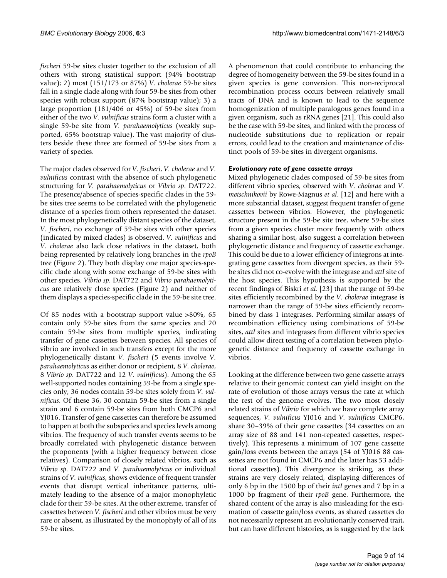*fischeri* 59-be sites cluster together to the exclusion of all others with strong statistical support (94% bootstrap value); 2) most (151/173 or 87%) *V. cholerae* 59-be sites fall in a single clade along with four 59-be sites from other species with robust support (87% bootstrap value); 3) a large proportion (181/406 or 45%) of 59-be sites from either of the two *V. vulnificus* strains form a cluster with a single 59-be site from *V. parahaemolyticus* (weakly supported, 65% bootstrap value). The vast majority of clusters beside these three are formed of 59-be sites from a variety of species.

The major clades observed for *V. fischeri*, *V. cholerae* and *V. vulnificus* contrast with the absence of such phylogenetic structuring for *V. parahaemolyticus* or *Vibrio sp*. DAT722. The presence/absence of species-specific clades in the 59 be sites tree seems to be correlated with the phylogenetic distance of a species from others represented the dataset. In the most phylogenetically distant species of the dataset, *V. fischeri*, no exchange of 59-be sites with other species (indicated by mixed clades) is observed. *V. vulnificus* and *V. cholerae* also lack close relatives in the dataset, both being represented by relatively long branches in the *rpoB* tree (Figure 2). They both display one major species-specific clade along with some exchange of 59-be sites with other species. *Vibrio sp*. DAT722 and *Vibrio parahaemolyticus* are relatively close species (Figure 2) and neither of them displays a species-specific clade in the 59-be site tree.

Of 85 nodes with a bootstrap support value >80%, 65 contain only 59-be sites from the same species and 20 contain 59-be sites from multiple species, indicating transfer of gene cassettes between species. All species of vibrio are involved in such transfers except for the more phylogenetically distant *V. fischeri* (5 events involve *V. parahaemolyticus* as either donor or recipient, 8 *V. cholerae*, 8 *Vibrio sp*. DAT722 and 12 *V. vulnificus*). Among the 65 well-supported nodes containing 59-be from a single species only, 36 nodes contain 59-be sites solely from *V. vulnificus*. Of these 36, 30 contain 59-be sites from a single strain and 6 contain 59-be sites from both CMCP6 and YJ016. Transfer of gene cassettes can therefore be assumed to happen at both the subspecies and species levels among vibrios. The frequency of such transfer events seems to be broadly correlated with phylogenetic distance between the proponents (with a higher frequency between close relatives). Comparison of closely related vibrios, such as *Vibrio sp*. DAT722 and *V. parahaemolyticus* or individual strains of *V. vulnificus*, shows evidence of frequent transfer events that disrupt vertical inheritance patterns, ultimately leading to the absence of a major monophyletic clade for their 59-be sites. At the other extreme, transfer of cassettes between *V. fischeri* and other vibrios must be very rare or absent, as illustrated by the monophyly of all of its 59-be sites.

A phenomenon that could contribute to enhancing the degree of homogeneity between the 59-be sites found in a given species is gene conversion. This non-reciprocal recombination process occurs between relatively small tracts of DNA and is known to lead to the sequence homogenization of multiple paralogous genes found in a given organism, such as rRNA genes [21]. This could also be the case with 59-be sites, and linked with the process of nucleotide substitutions due to replication or repair errors, could lead to the creation and maintenance of distinct pools of 59-be sites in divergent organisms.

## *Evolutionary rate of gene cassette arrays*

Mixed phylogenetic clades composed of 59-be sites from different vibrio species, observed with *V. cholerae* and *V. metschnikovii* by Rowe-Magnus *et al*. [12] and here with a more substantial dataset, suggest frequent transfer of gene cassettes between vibrios. However, the phylogenetic structure present in the 59-be site tree, where 59-be sites from a given species cluster more frequently with others sharing a similar host, also suggest a correlation between phylogenetic distance and frequency of cassette exchange. This could be due to a lower efficiency of integrons at integrating gene cassettes from divergent species, as their 59 be sites did not co-evolve with the integrase and *attI* site of the host species. This hypothesis is supported by the recent findings of Biskri *et al*. [23] that the range of 59-be sites efficiently recombined by the *V. cholerae* integrase is narrower than the range of 59-be sites efficiently recombined by class 1 integrases. Performing similar assays of recombination efficiency using combinations of 59-be sites, *attI* sites and integrases from different vibrio species could allow direct testing of a correlation between phylogenetic distance and frequency of cassette exchange in vibrios.

Looking at the difference between two gene cassette arrays relative to their genomic context can yield insight on the rate of evolution of those arrays versus the rate at which the rest of the genome evolves. The two most closely related strains of *Vibrio* for which we have complete array sequences, *V. vulnificus* YJ016 and *V. vulnificus* CMCP6, share 30–39% of their gene cassettes (34 cassettes on an array size of 88 and 141 non-repeated cassettes, respectively). This represents a minimum of 107 gene cassette gain/loss events between the arrays (54 of YJ016 88 cassettes are not found in CMCP6 and the latter has 53 additional cassettes). This divergence is striking, as these strains are very closely related, displaying differences of only 6 bp in the 1500 bp of their *intI* genes and 7 bp in a 1000 bp fragment of their *rpoB* gene. Furthermore, the shared content of the array is also misleading for the estimation of cassette gain/loss events, as shared cassettes do not necessarily represent an evolutionarily conserved trait, but can have different histories, as is suggested by the lack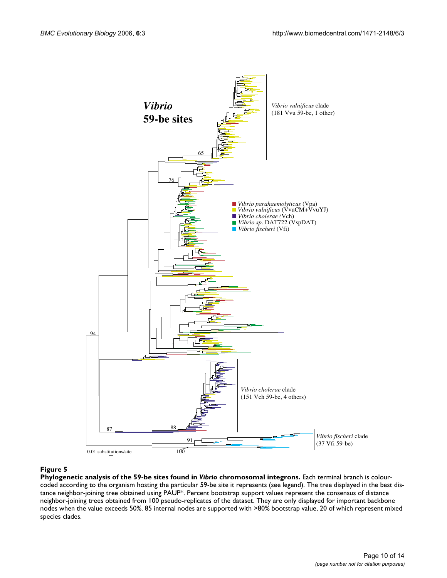

#### **Figure 5**

**Phylogenetic analysis of the 59-be sites found in** *Vibrio* **chromosomal integrons.** Each terminal branch is colourcoded according to the organism hosting the particular 59-be site it represents (see legend). The tree displayed in the best distance neighbor-joining tree obtained using PAUP\*. Percent bootstrap support values represent the consensus of distance neighbor-joining trees obtained from 100 pseudo-replicates of the dataset. They are only displayed for important backbone nodes when the value exceeds 50%. 85 internal nodes are supported with >80% bootstrap value, 20 of which represent mixed species clades.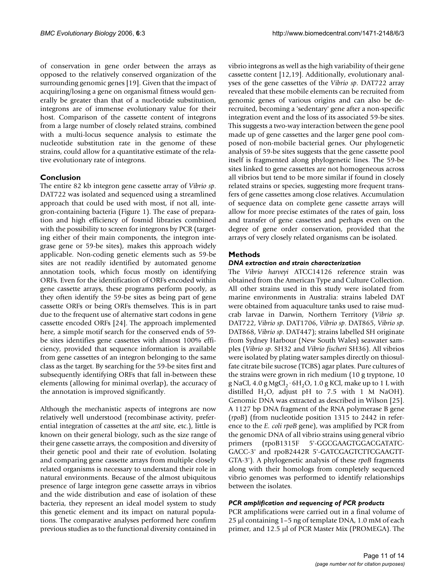of conservation in gene order between the arrays as opposed to the relatively conserved organization of the surrounding genomic genes [19]. Given that the impact of acquiring/losing a gene on organismal fitness would generally be greater than that of a nucleotide substitution, integrons are of immense evolutionary value for their host. Comparison of the cassette content of integrons from a large number of closely related strains, combined with a multi-locus sequence analysis to estimate the nucleotide substitution rate in the genome of these strains, could allow for a quantitative estimate of the relative evolutionary rate of integrons.

## **Conclusion**

The entire 82 kb integron gene cassette array of *Vibrio sp*. DAT722 was isolated and sequenced using a streamlined approach that could be used with most, if not all, integron-containing bacteria (Figure 1). The ease of preparation and high efficiency of fosmid libraries combined with the possibility to screen for integrons by PCR (targeting either of their main components, the integron integrase gene or 59-be sites), makes this approach widely applicable. Non-coding genetic elements such as 59-be sites are not readily identified by automated genome annotation tools, which focus mostly on identifying ORFs. Even for the identification of ORFs encoded within gene cassette arrays, these programs perform poorly, as they often identify the 59-be sites as being part of gene cassette ORFs or being ORFs themselves. This is in part due to the frequent use of alternative start codons in gene cassette encoded ORFs [24]. The approach implemented here, a simple motif search for the conserved ends of 59 be sites identifies gene cassettes with almost 100% efficiency, provided that sequence information is available from gene cassettes of an integron belonging to the same class as the target. By searching for the 59-be sites first and subsequently identifying ORFs that fall in-between these elements (allowing for minimal overlap), the accuracy of the annotation is improved significantly.

Although the mechanistic aspects of integrons are now relatively well understood (recombinase activity, preferential integration of cassettes at the *attI* site, etc.), little is known on their general biology, such as the size range of their gene cassette arrays, the composition and diversity of their genetic pool and their rate of evolution. Isolating and comparing gene cassette arrays from multiple closely related organisms is necessary to understand their role in natural environments. Because of the almost ubiquitous presence of large integron gene cassette arrays in vibrios and the wide distribution and ease of isolation of these bacteria, they represent an ideal model system to study this genetic element and its impact on natural populations. The comparative analyses performed here confirm previous studies as to the functional diversity contained in

vibrio integrons as well as the high variability of their gene cassette content [12,19]. Additionally, evolutionary analyses of the gene cassettes of the *Vibrio sp*. DAT722 array revealed that these mobile elements can be recruited from genomic genes of various origins and can also be derecruited, becoming a 'sedentary' gene after a non-specific integration event and the loss of its associated 59-be sites. This suggests a two-way interaction between the gene pool made up of gene cassettes and the larger gene pool composed of non-mobile bacterial genes. Our phylogenetic analysis of 59-be sites suggests that the gene cassette pool itself is fragmented along phylogenetic lines. The 59-be sites linked to gene cassettes are not homogeneous across all vibrios but tend to be more similar if found in closely related strains or species, suggesting more frequent transfers of gene cassettes among close relatives. Accumulation of sequence data on complete gene cassette arrays will allow for more precise estimates of the rates of gain, loss and transfer of gene cassettes and perhaps even on the degree of gene order conservation, provided that the arrays of very closely related organisms can be isolated.

## **Methods**

## *DNA extraction and strain characterization*

The *Vibrio harveyi* ATCC14126 reference strain was obtained from the American Type and Culture Collection. All other strains used in this study were isolated from marine environments in Australia: strains labeled DAT were obtained from aquaculture tanks used to raise mudcrab larvae in Darwin, Northern Territory (*Vibrio sp*. DAT722, *Vibrio sp*. DAT1706, *Vibrio sp*. DAT865, *Vibrio sp*. DAT868, *Vibrio sp*. DAT447); strains labelled SH originate from Sydney Harbour (New South Wales) seawater samples (*Vibrio sp*. SH32 and *Vibrio fischeri* SH36). All vibrios were isolated by plating water samples directly on thiosulfate citrate bile sucrose (TCBS) agar plates. Pure cultures of the strains were grown in rich medium (10 g tryptone, 10 g NaCl,  $4.0$  g MgCl<sub>2</sub>·6H<sub>2</sub>O, 1.0 g KCl, make up to 1 L with distilled H<sub>2</sub>O, adjust pH to 7.5 with 1 M NaOH). Genomic DNA was extracted as described in Wilson [25]. A 1127 bp DNA fragment of the RNA polymerase B gene (*rpoB*) (from nucleotide position 1315 to 2442 in reference to the *E. coli rpoB* gene), was amplified by PCR from the genomic DNA of all vibrio strains using general vibrio primers (rpoB1315F 5'-GGCGAAGTGGACGATATC-GACC-3' and rpoB2442R 5'-GATCGAGTCTTCGAAGTT-GTA-3'). A phylogenetic analysis of these *rpoB* fragments along with their homologs from completely sequenced vibrio genomes was performed to identify relationships between the isolates.

## *PCR amplification and sequencing of PCR products*

PCR amplifications were carried out in a final volume of 25 µl containing 1–5 ng of template DNA, 1.0 mM of each primer, and 12.5 µl of PCR Master Mix (PROMEGA). The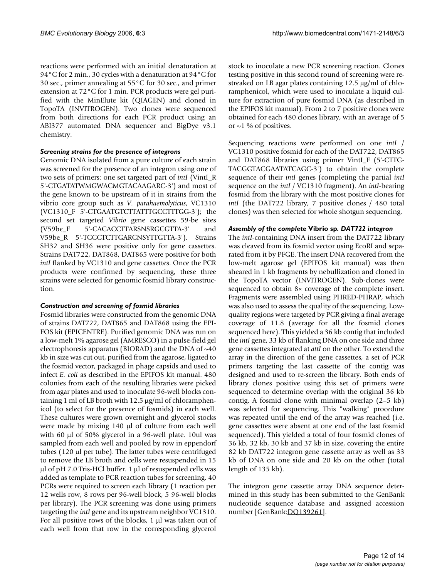reactions were performed with an initial denaturation at 94°C for 2 min., 30 cycles with a denaturation at 94°C for 30 sec., primer annealing at 55°C for 30 sec., and primer extension at 72°C for 1 min. PCR products were gel purified with the MinElute kit (QIAGEN) and cloned in TopoTA (INVITROGEN). Two clones were sequenced from both directions for each PCR product using an ABI377 automated DNA sequencer and BigDye v3.1 chemistry.

## *Screening strains for the presence of integrons*

Genomic DNA isolated from a pure culture of each strain was screened for the presence of an integron using one of two sets of primers: one set targeted part of *intI* (VintI\_R 5'-CTGATATWMGWACMGTACAAGARC-3') and most of the gene known to be upstream of it in strains from the vibrio core group such as *V. parahaemolyticus*, VC1310 (VC1310\_F 5'-CTGAATGTCTTATTTGCCTTTGG-3'); the second set targeted *Vibrio* gene cassettes 59-be sites (V59be\_F 5'-CACACCTTARSNSRGCGTTA-3' and V59be\_R 5'-TCCCTCTTGARCNSYTTGTTA-3'). Strains SH32 and SH36 were positive only for gene cassettes. Strains DAT722, DAT868, DAT865 were positive for both *intI* flanked by VC1310 and gene cassettes. Once the PCR products were confirmed by sequencing, these three strains were selected for genomic fosmid library construction.

## *Construction and screening of fosmid libraries*

Fosmid libraries were constructed from the genomic DNA of strains DAT722, DAT865 and DAT868 using the EPI-FOS kit (EPICENTRE). Purified genomic DNA was run on a low-melt 1% agarose gel (AMRESCO) in a pulse-field gel electrophoresis apparatus (BIORAD) and the DNA of  $~40$ kb in size was cut out, purified from the agarose, ligated to the fosmid vector, packaged in phage capsids and used to infect *E. coli* as described in the EPIFOS kit manual. 480 colonies from each of the resulting libraries were picked from agar plates and used to inoculate 96-well blocks containing 1 ml of LB broth with  $12.5 \mu g/ml$  of chloramphenicol (to select for the presence of fosmids) in each well. These cultures were grown overnight and glycerol stocks were made by mixing 140 µl of culture from each well with 60 µl of 50% glycerol in a 96-well plate. 10ul was sampled from each well and pooled by row in eppendorf tubes (120 µl per tube). The latter tubes were centrifuged to remove the LB broth and cells were resuspended in 15  $\mu$ l of pH 7.0 Tris-HCl buffer. 1  $\mu$ l of resuspended cells was added as template to PCR reaction tubes for screening. 40 PCRs were required to screen each library (1 reaction per 12 wells row, 8 rows per 96-well block, 5 96-well blocks per library). The PCR screening was done using primers targeting the *intI* gene and its upstream neighbor VC1310. For all positive rows of the blocks, 1 µl was taken out of each well from that row in the corresponding glycerol

stock to inoculate a new PCR screening reaction. Clones testing positive in this second round of screening were restreaked on LB agar plates containing 12.5 µg/ml of chloramphenicol, which were used to inoculate a liquid culture for extraction of pure fosmid DNA (as described in the EPIFOS kit manual). From 2 to 7 positive clones were obtained for each 480 clones library, with an average of 5 or  $\sim$ 1 % of positives.

Sequencing reactions were performed on one *intI* / VC1310 positive fosmid for each of the DAT722, DAT865 and DAT868 libraries using primer VintI\_F (5'-CTTG-TACGGTACGAATATCAGC-3') to obtain the complete sequence of their *intI* genes (completing the partial *intI* sequence on the *intI* / VC1310 fragment). An *intI*-bearing fosmid from the library with the most positive clones for *intI* (the DAT722 library, 7 positive clones / 480 total clones) was then selected for whole shotgun sequencing.

## *Assembly of the complete* **Vibrio sp***. DAT722 integron*

The *intI*-containing DNA insert from the DAT722 library was cleaved from its fosmid vector using EcoRI and separated from it by PFGE. The insert DNA recovered from the low-melt agarose gel (EPIFOS kit manual) was then sheared in 1 kb fragments by nebullization and cloned in the TopoTA vector (INVITROGEN). Sub-clones were sequenced to obtain 8× coverage of the complete insert. Fragments were assembled using PHRED-PHRAP, which was also used to assess the quality of the sequencing. Lowquality regions were targeted by PCR giving a final average coverage of 11.8 (average for all the fosmid clones sequenced here). This yielded a 36 kb contig that included the *intI* gene, 33 kb of flanking DNA on one side and three gene cassettes integrated at *attI* on the other. To extend the array in the direction of the gene cassettes, a set of PCR primers targeting the last cassette of the contig was designed and used to re-screen the library. Both ends of library clones positive using this set of primers were sequenced to determine overlap with the original 36 kb contig. A fosmid clone with minimal overlap (2–5 kb) was selected for sequencing. This "walking" procedure was repeated until the end of the array was reached (i.e. gene cassettes were absent at one end of the last fosmid sequenced). This yielded a total of four fosmid clones of 36 kb, 32 kb, 30 kb and 37 kb in size, covering the entire 82 kb DAT722 integron gene cassette array as well as 33 kb of DNA on one side and 20 kb on the other (total length of 135 kb).

The integron gene cassette array DNA sequence determined in this study has been submitted to the GenBank nucleotide sequence database and assigned accession number [GenBank:[DQ139261\]](http://www.ncbi.nih.gov/entrez/query.fcgi?db=Nucleotide&cmd=search&term=DQ139261).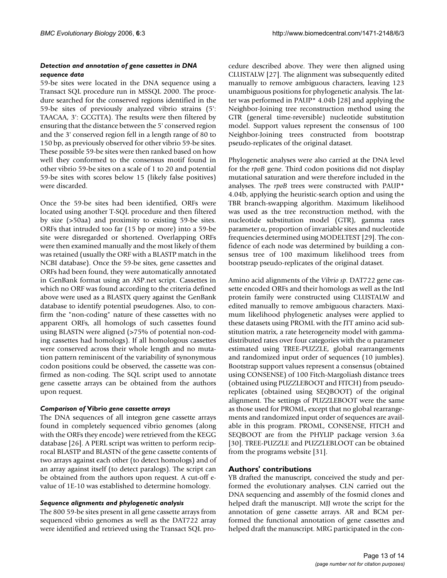## *Detection and annotation of gene cassettes in DNA sequence data*

59-be sites were located in the DNA sequence using a Transact SQL procedure run in MSSQL 2000. The procedure searched for the conserved regions identified in the 59-be sites of previously analyzed vibrio strains (5': TAACAA, 3': GCGTTA). The results were then filtered by ensuring that the distance between the 5' conserved region and the 3' conserved region fell in a length range of 80 to 150 bp, as previously observed for other vibrio 59-be sites. These possible 59-be sites were then ranked based on how well they conformed to the consensus motif found in other vibrio 59-be sites on a scale of 1 to 20 and potential 59-be sites with scores below 15 (likely false positives) were discarded.

Once the 59-be sites had been identified, ORFs were located using another T-SQL procedure and then filtered by size (>50aa) and proximity to existing 59-be sites. ORFs that intruded too far (15 bp or more) into a 59-be site were disregarded or shortened. Overlapping ORFs were then examined manually and the most likely of them was retained (usually the ORF with a BLASTP match in the NCBI database). Once the 59-be sites, gene cassettes and ORFs had been found, they were automatically annotated in GenBank format using an ASP.net script. Cassettes in which no ORF was found according to the criteria defined above were used as a BLASTX query against the GenBank database to identify potential pseudogenes. Also, to confirm the "non-coding" nature of these cassettes with no apparent ORFs, all homologs of such cassettes found using BLASTN were aligned (>75% of potential non-coding cassettes had homologs). If all homologous cassettes were conserved across their whole length and no mutation pattern reminiscent of the variability of synonymous codon positions could be observed, the cassette was confirmed as non-coding. The SQL script used to annotate gene cassette arrays can be obtained from the authors upon request.

## *Comparison of* **Vibrio** *gene cassette arrays*

The DNA sequences of all integron gene cassette arrays found in completely sequenced vibrio genomes (along with the ORFs they encode) were retrieved from the KEGG database [26]. A PERL script was written to perform reciprocal BLASTP and BLASTN of the gene cassette contents of two arrays against each other (to detect homologs) and of an array against itself (to detect paralogs). The script can be obtained from the authors upon request. A cut-off evalue of 1E-10 was established to determine homology.

## *Sequence alignments and phylogenetic analysis*

The 800 59-be sites present in all gene cassette arrays from sequenced vibrio genomes as well as the DAT722 array were identified and retrieved using the Transact SQL procedure described above. They were then aligned using CLUSTALW [27]. The alignment was subsequently edited manually to remove ambiguous characters, leaving 123 unambiguous positions for phylogenetic analysis. The latter was performed in PAUP\* 4.04b [28] and applying the Neighbor-Joining tree reconstruction method using the GTR (general time-reversible) nucleotide substitution model. Support values represent the consensus of 100 Neighbor-Joining trees constructed from bootstrap pseudo-replicates of the original dataset.

Phylogenetic analyses were also carried at the DNA level for the *rpoB* gene. Third codon positions did not display mutational saturation and were therefore included in the analyses. The *rpoB* trees were constructed with PAUP\* 4.04b, applying the heuristic-search option and using the TBR branch-swapping algorithm. Maximum likelihood was used as the tree reconstruction method, with the nucleotide substitution model (GTR), gamma rates parameter α, proportion of invariable sites and nucleotide frequencies determined using MODELTEST [29]. The confidence of each node was determined by building a consensus tree of 100 maximum likelihood trees from bootstrap pseudo-replicates of the original dataset.

Amino acid alignments of the *Vibrio sp*. DAT722 gene cassette encoded ORFs and their homologs as well as the IntI protein family were constructed using CLUSTALW and edited manually to remove ambiguous characters. Maximum likelihood phylogenetic analyses were applied to these datasets using PROML with the JTT amino acid substitution matrix, a rate heterogeneity model with gammadistributed rates over four categories with the  $\alpha$  parameter estimated using TREE-PUZZLE, global rearrangements and randomized input order of sequences (10 jumbles). Bootstrap support values represent a consensus (obtained using CONSENSE) of 100 Fitch-Margoliash distance trees (obtained using PUZZLEBOOT and FITCH) from pseudoreplicates (obtained using SEQBOOT) of the original alignment. The settings of PUZZLEBOOT were the same as those used for PROML, except that no global rearrangements and randomized input order of sequences are available in this program. PROML, CONSENSE, FITCH and SEQBOOT are from the PHYLIP package version 3.6a [30]. TREE-PUZZLE and PUZZLEBLOOT can be obtained from the programs website [31].

## **Authors' contributions**

YB drafted the manuscript, conceived the study and performed the evolutionary analyses. CLN carried out the DNA sequencing and assembly of the fosmid clones and helped draft the manuscript. MJJ wrote the script for the annotation of gene cassette arrays. AR and BCM performed the functional annotation of gene cassettes and helped draft the manuscript. MRG participated in the con